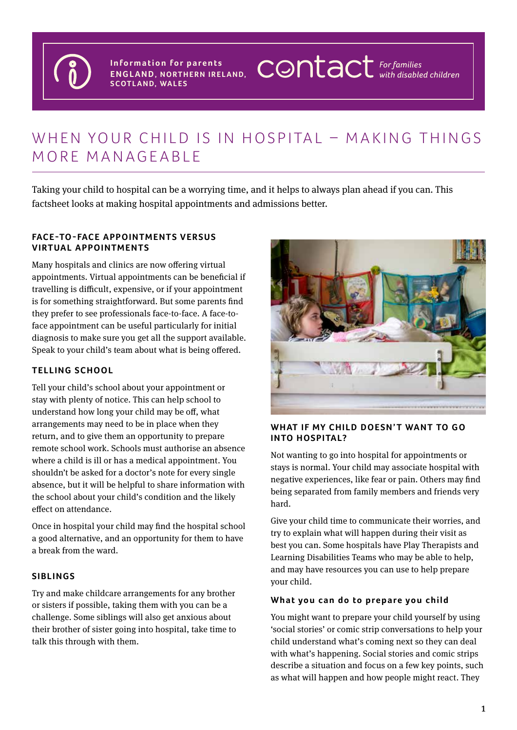

**Information for parents ENGLAND, NORTHERN IRELAND, SCOTLAND, WALES**

# WHEN YOUR CHILD IS IN HOSPITAL - MAKING THINGS MORE MANAGEABLE

Taking your child to hospital can be a worrying time, and it helps to always plan ahead if you can. This factsheet looks at making hospital appointments and admissions better.

### **FACE-TO-FACE APPOINTMENTS VERSUS VIRTUAL APPOINTMENTS**

Many hospitals and clinics are now offering virtual appointments. Virtual appointments can be beneficial if travelling is difficult, expensive, or if your appointment is for something straightforward. But some parents find they prefer to see professionals face-to-face. A face-toface appointment can be useful particularly for initial diagnosis to make sure you get all the support available. Speak to your child's team about what is being offered.

# **TELLING SCHOOL**

Tell your child's school about your appointment or stay with plenty of notice. This can help school to understand how long your child may be off, what arrangements may need to be in place when they return, and to give them an opportunity to prepare remote school work. Schools must authorise an absence where a child is ill or has a medical appointment. You shouldn't be asked for a doctor's note for every single absence, but it will be helpful to share information with the school about your child's condition and the likely effect on attendance.

Once in hospital your child may find the hospital school a good alternative, and an opportunity for them to have a break from the ward.

#### **SIBLINGS**

Try and make childcare arrangements for any brother or sisters if possible, taking them with you can be a challenge. Some siblings will also get anxious about their brother of sister going into hospital, take time to talk this through with them.



**CONTACT** For families

# WHAT IF MY CHILD DOESN'T WANT TO GO **INTO HOSPITAL?**

Not wanting to go into hospital for appointments or stays is normal. Your child may associate hospital with negative experiences, like fear or pain. Others may find being separated from family members and friends very hard.

Give your child time to communicate their worries, and try to explain what will happen during their visit as best you can. Some hospitals have Play Therapists and Learning Disabilities Teams who may be able to help, and may have resources you can use to help prepare your child.

#### **What you can do to prepare you child**

You might want to prepare your child yourself by using 'social stories' or comic strip conversations to help your child understand what's coming next so they can deal with what's happening. Social stories and comic strips describe a situation and focus on a few key points, such as what will happen and how people might react. They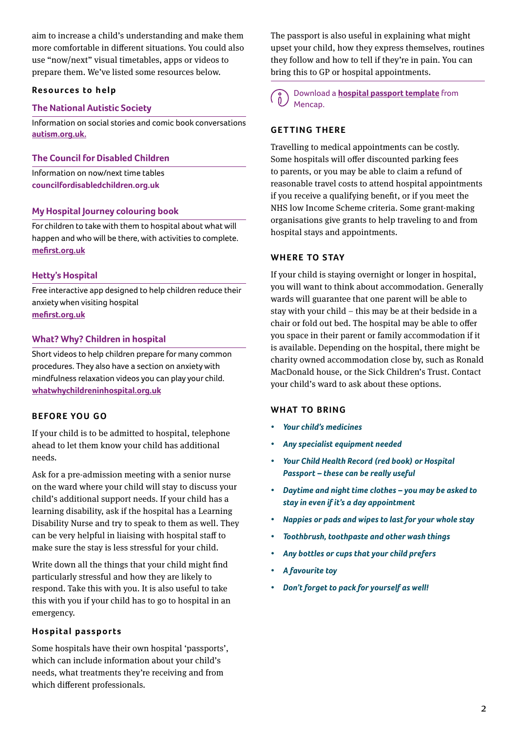aim to increase a child's understanding and make them more comfortable in different situations. You could also use "now/next" visual timetables, apps or videos to prepare them. We've listed some resources below.

#### **Resources to help**

## **The National Autistic Society**

Information on social stories and comic book conversations **[autism.org.uk.](https://www.autism.org.uk/advice-and-guidance/topics/communication/communication-tools/social-stories-and-comic-strip-coversations)**

### **The Council for Disabled Children**

Information on now/next time tables **[councilfordisabledchildren.org.uk](https://councilfordisabledchildren.org.uk/sites/default/files/uploads/Visual%20Timetables%20Resource.I%20CAN.FINAL.pdf
)**

### **My Hospital Journey colouring book**

For children to take with them to hospital about what will happen and who will be there, with activities to complete. **[mefirst.org.uk](https://www.mefirst.org.uk/resource/my-hospital-journey/)**

### **Hetty's Hospital**

Free interactive app designed to help children reduce their anxiety when visiting hospital **[mefirst.org.uk](https://www.mefirst.org.uk/resource/hettys-hospital-app/)**

### **What? Why? Children in hospital**

Short videos to help children prepare for many common procedures. They also have a section on anxiety with mindfulness relaxation videos you can play your child. **[whatwhychildreninhospital.org.uk](https://www.whatwhychildreninhospital.org.uk/)**

# **BEFORE YOU GO**

If your child is to be admitted to hospital, telephone ahead to let them know your child has additional needs.

Ask for a pre-admission meeting with a senior nurse on the ward where your child will stay to discuss your child's additional support needs. If your child has a learning disability, ask if the hospital has a Learning Disability Nurse and try to speak to them as well. They can be very helpful in liaising with hospital staff to make sure the stay is less stressful for your child.

Write down all the things that your child might find particularly stressful and how they are likely to respond. Take this with you. It is also useful to take this with you if your child has to go to hospital in an emergency.

# **Hospital passports**

Some hospitals have their own hospital 'passports', which can include information about your child's needs, what treatments they're receiving and from which different professionals.

The passport is also useful in explaining what might upset your child, how they express themselves, routines they follow and how to tell if they're in pain. You can bring this to GP or hospital appointments.

Download a **[hospital passport template](https://www.mencap.org.uk/advice-and-support/health/health-guides)** from Mencap.

## **GETTING THERE**

Travelling to medical appointments can be costly. Some hospitals will offer discounted parking fees to parents, or you may be able to claim a refund of reasonable travel costs to attend hospital appointments if you receive a qualifying benefit, or if you meet the NHS low Income Scheme criteria. Some grant-making organisations give grants to help traveling to and from hospital stays and appointments.

### **WHERE TO STAY**

If your child is staying overnight or longer in hospital, you will want to think about accommodation. Generally wards will guarantee that one parent will be able to stay with your child – this may be at their bedside in a chair or fold out bed. The hospital may be able to offer you space in their parent or family accommodation if it is available. Depending on the hospital, there might be charity owned accommodation close by, such as Ronald MacDonald house, or the Sick Children's Trust. Contact your child's ward to ask about these options.

#### WHAT TO BRING

- *• Your child's medicines*
- *• Any specialist equipment needed*
- *• Your Child Health Record (red book) or Hospital Passport – these can be really useful*
- *• Daytime and night time clothes you may be asked to stay in even if it's a day appointment*
- *• Nappies or pads and wipes to last for your whole stay*
- *• Toothbrush, toothpaste and other wash things*
- *• Any bottles or cups that your child prefers*
- *• A favourite toy*
- *• Don't forget to pack for yourself as well!*